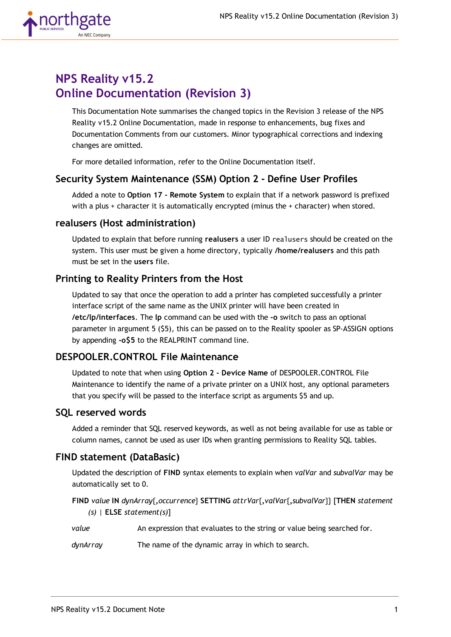

# **NPS Reality v15.2 Online Documentation (Revision 3)**

This Documentation Note summarises the changed topics in the Revision 3 release of the NPS Reality v15.2 Online Documentation, made in response to enhancements, bug fixes and Documentation Comments from our customers. Minor typographical corrections and indexing changes are omitted.

For more detailed information, refer to the Online Documentation itself.

# **Security System Maintenance (SSM) Option 2 - Define User Profiles**

Added a note to **Option 17 - Remote System** to explain that if a network password is prefixed with a plus + character it is automatically encrypted (minus the + character) when stored.

#### **realusers (Host administration)**

Updated to explain that before running **realusers** a user ID realusers should be created on the system. This user must be given a home directory, typically **/home/realusers** and this path must be set in the **users** file.

### **Printing to Reality Printers from the Host**

Updated to say that once the operation to add a printer has completed successfully a printer interface script of the same name as the UNIX printer will have been created in **/etc/lp/interfaces**. The **lp** command can be used with the **-o** switch to pass an optional parameter in argument 5 (\$5), this can be passed on to the Reality spooler as SP-ASSIGN options by appending **-o\$5** to the REALPRINT command line.

# **DESPOOLER.CONTROL File Maintenance**

Updated to note that when using **Option 2 - Device Name** of DESPOOLER.CONTROL File Maintenance to identify the name of a private printer on a UNIX host, any optional parameters that you specify will be passed to the interface script as arguments \$5 and up.

#### **SQL reserved words**

Added a reminder that SQL reserved keywords, as well as not being available for use as table or column names, cannot be used as user IDs when granting permissions to Reality SQL tables.

#### **FIND statement (DataBasic)**

Updated the description of **FIND** syntax elements to explain when *valVar* and *subvalVar* may be automatically set to 0.

**FIND** *value* **IN** *dynArray*{**,***occurrence*} **SETTING** *attrVar*{**,***valVar*{**,***subvalVar*}} [**THEN** *statement (s)* | **ELSE** *statement(s)*]

*value* An expression that evaluates to the string or value being searched for.

*dynArray* The name of the dynamic array in which to search.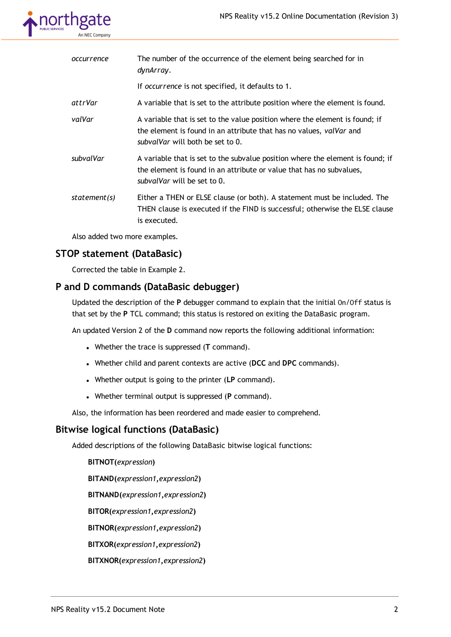

| occurrence   | The number of the occurrence of the element being searched for in<br>dynArray.                                                                                                         |
|--------------|----------------------------------------------------------------------------------------------------------------------------------------------------------------------------------------|
|              | If occurrence is not specified, it defaults to 1.                                                                                                                                      |
| attrVar      | A variable that is set to the attribute position where the element is found.                                                                                                           |
| valVar       | A variable that is set to the value position where the element is found; if<br>the element is found in an attribute that has no values, valVar and<br>subvalVar will both be set to 0. |
| subvalVar    | A variable that is set to the subvalue position where the element is found; if<br>the element is found in an attribute or value that has no subvalues,<br>subvalVar will be set to 0.  |
| statement(s) | Either a THEN or ELSE clause (or both). A statement must be included. The<br>THEN clause is executed if the FIND is successful; otherwise the ELSE clause<br>is executed.              |
|              |                                                                                                                                                                                        |

Also added two more examples.

# **STOP statement (DataBasic)**

Corrected the table in Example 2.

#### **P and D commands (DataBasic debugger)**

Updated the description of the **P** debugger command to explain that the initial On/Off status is that set by the **P** TCL command; this status is restored on exiting the DataBasic program.

An updated Version 2 of the **D** command now reports the following additional information:

- <sup>l</sup> Whether the trace is suppressed (**T** command).
- <sup>l</sup> Whether child and parent contexts are active (**DCC** and **DPC** commands).
- <sup>l</sup> Whether output is going to the printer (**LP** command).
- <sup>l</sup> Whether terminal output is suppressed (**P** command).

Also, the information has been reordered and made easier to comprehend.

# **Bitwise logical functions (DataBasic)**

Added descriptions of the following DataBasic bitwise logical functions:

**BITNOT(***expression***) BITAND(***expression1***,***expression2***) BITNAND(***expression1***,***expression2***) BITOR(***expression1***,***expression2***) BITNOR(***expression1***,***expression2***) BITXOR(***expression1***,***expression2***) BITXNOR(***expression1***,***expression2***)**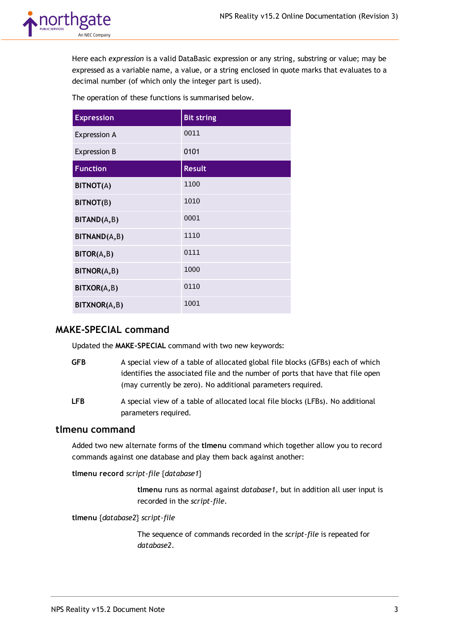

Here each *expression* is a valid DataBasic expression or any string, substring or value; may be expressed as a variable name, a value, or a string enclosed in quote marks that evaluates to a decimal number (of which only the integer part is used).

The operation of these functions is summarised below.

| <b>Expression</b>   | <b>Bit string</b> |
|---------------------|-------------------|
| <b>Expression A</b> | 0011              |
| <b>Expression B</b> | 0101              |
| <b>Function</b>     | <b>Result</b>     |
| <b>BITNOT(A)</b>    | 1100              |
| BITNOT(B)           | 1010              |
| BITAND(A,B)         | 0001              |
| BITNAND(A,B)        | 1110              |
| BITOR(A,B)          | 0111              |
| BITNOR(A,B)         | 1000              |
| BITXOR(A,B)         | 0110              |
| BITXNOR(A,B)        | 1001              |

# **MAKE-SPECIAL command**

Updated the **MAKE-SPECIAL** command with two new keywords:

- **GFB** A special view of a table of allocated global file blocks (GFBs) each of which identifies the associated file and the number of ports that have that file open (may currently be zero). No additional parameters required.
- **LFB** A special view of a table of allocated local file blocks (LFBs). No additional parameters required.

#### **tlmenu command**

Added two new alternate forms of the **tlmenu** command which together allow you to record commands against one database and play them back against another:

**tlmenu record** *script-file* {*database1*}

**tlmenu** runs as normal against *database1*, but in addition all user input is recorded in the *script-file*.

**tlmenu** {*database2*} *script-file*

The sequence of commands recorded in the *script-file* is repeated for *database2*.